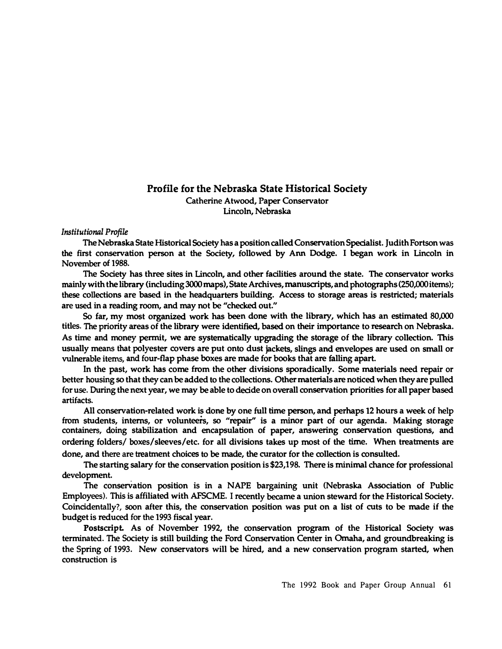## Profile for the Nebraska State Historical Society

**Catherine Atwood, Paper Conservator Lincoln, Nebraska** 

## *Institutional Profile*

**TheNebraska StateHistorical Society has a position calledConservation Specialist. JudithFortson was the first conservation person at the Society, followed by Ann Dodge. I began work in Lincoln in November of 1988.** 

**The Society has three sites in Lincoln, and other facilities around the state. The conservator works mainly withthelibrary (including3000maps), StateArchives,manusaipts, and photographs (250,000items);**  these collections are based in the headquarters building. Access to storage areas is restricted; materials **are used in a reading room, and may not be "checked out.''** 

**So far, my most organized work has been done with the library, which has an estimated 80,000 titles. The priority areas of the library were identified, basedon their importance toresearch on Nebraska. As time and money permit,** we **are systematically upgrading the storage of the library collection. This usually means that polyester covers are put onto dust jackets, slings and envelopes are used on small or vulnerable items, and four-flap phase boxes are made for books that are falling apart** 

**In the past, work has come from the other divisions sporadically. Some materials need repair or better housing so that they canbe added to the collections. Othermaterials are noticed when they are pulled foruse. During the next year, we may be able to decide on overall conservation priorities for all paperbased artifacts.** 

**All conservation-related work is done by one full time person, and perhaps 12 hours a week of help from students, interns, or volunteers, so "repair" is a minor part of our agenda. Making storage containers, doing stabilization and encapsulation of paper, answering conservation questions, and ordering folders/ boxes/sleeves/etc. for all divisions takes up most of** the **time. When treatments are done, and there are treatment choices to be made,** the **curator for the collection is consulted.** 

**The starting salary for the conservation position is \$23,198. There is minimal chance for professional development.** 

**The conservation position is in a NAPE bargaining unit (Nebraska Association of Public Employees). This is affiliated withAFSCME. I recently became a union steward for the HistoricalSociety. Coincidentally?, soon after this, the conservation position was put on a list of cuts to be made if the budget is reduced forthe 1993 fiscal year.** 

**Postscript. As of November 1992, the conservation program of the Historical Society was terminated. The Society is still building the Ford Conservation Center in Omaha, and groundbreaking is the Spring of 1993. New conservators will be hired, and a new conservation program started, when construction is**